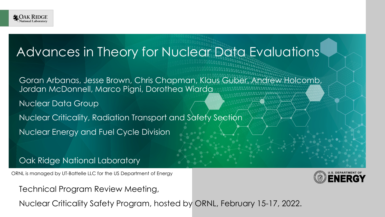

#### Advances in Theory for Nuclear Data Evaluations

Goran Arbanas, Jesse Brown, Chris Chapman, Klaus Guber, Andrew Holcomb, Jordan McDonnell, Marco Pigni, Dorothea Wiarda

Nuclear Data Group

Nuclear Criticality, Radiation Transport and Safety Section

Nuclear Energy and Fuel Cycle Division

Oak Ridge National Laboratory

ORNL is managed by UT-Battelle LLC for the US Department of Energy



Technical Program Review Meeting,

Nuclear Criticality Safety Program, hosted by ORNL, February 15-17, 2022.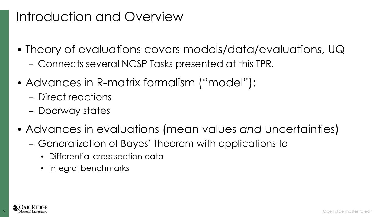### Introduction and Overview

- Theory of evaluations covers models/data/evaluations, UQ – Connects several NCSP Tasks presented at this TPR.
- Advances in R-matrix formalism ("model"):
	- Direct reactions
	- Doorway states
- Advances in evaluations (mean values *and* uncertainties)
	- Generalization of Bayes' theorem with applications to
		- Differential cross section data
		- Integral benchmarks

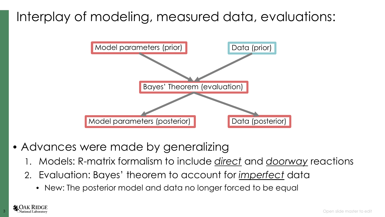## Interplay of modeling, measured data, evaluations:



- Advances were made by generalizing
	- 1. Models: R-matrix formalism to include *direct* and *doorway* reactions
	- 2. Evaluation: Bayes' theorem to account for *imperfect* data
		- New: The posterior model and data no longer forced to be equal

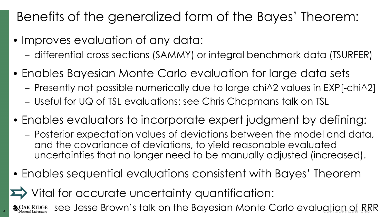# Benefits of the generalized form of the Bayes' Theorem:

- Improves evaluation of any data:
	- differential cross sections (SAMMY) or integral benchmark data (TSURFER)
- Enables Bayesian Monte Carlo evaluation for large data sets
	- Presently not possible numerically due to large chi^2 values in EXP[-chi^2]
	- Useful for UQ of TSL evaluations: see Chris Chapmans talk on TSL
- Enables evaluators to incorporate expert judgment by defining:
	- Posterior expectation values of deviations between the model and data, and the covariance of deviations, to yield reasonable evaluated uncertainties that no longer need to be manually adjusted (increased).
- Enables sequential evaluations consistent with Bayes' Theorem

Vital for accurate uncertainty quantification:

4  $\,$   $\rm \clubsuit$   $\rm \spadesuit_{\rm National Laboratory}^{\rm DAK\,RIDGE}$  see Jesse Brown's talk on the Bayesian Monte Carlo evaluation of RRR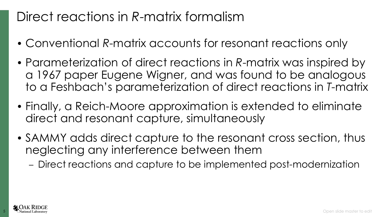## Direct reactions in *R*-matrix formalism

- Conventional *R*-matrix accounts for resonant reactions only
- Parameterization of direct reactions in *R*-matrix was inspired by a 1967 paper Eugene Wigner, and was found to be analogous to a Feshbach's parameterization of direct reactions in *T*-matrix
- Finally, a Reich-Moore approximation is extended to eliminate direct and resonant capture, simultaneously
- SAMMY adds direct capture to the resonant cross section, thus neglecting any interference between them
	- Direct reactions and capture to be implemented post-modernization

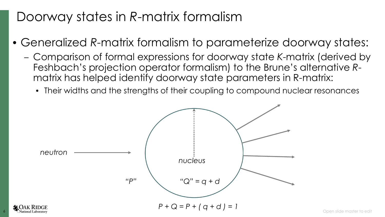## Doorway states in *R*-matrix formalism

- Generalized *R*-matrix formalism to parameterize doorway states:
	- Comparison of formal expressions for doorway state *K*-matrix (derived by Feshbach's projection operator formalism) to the Brune's alternative *R*matrix has helped identify doorway state parameters in R-matrix:
		- Their widths and the strengths of their coupling to compound nuclear resonances